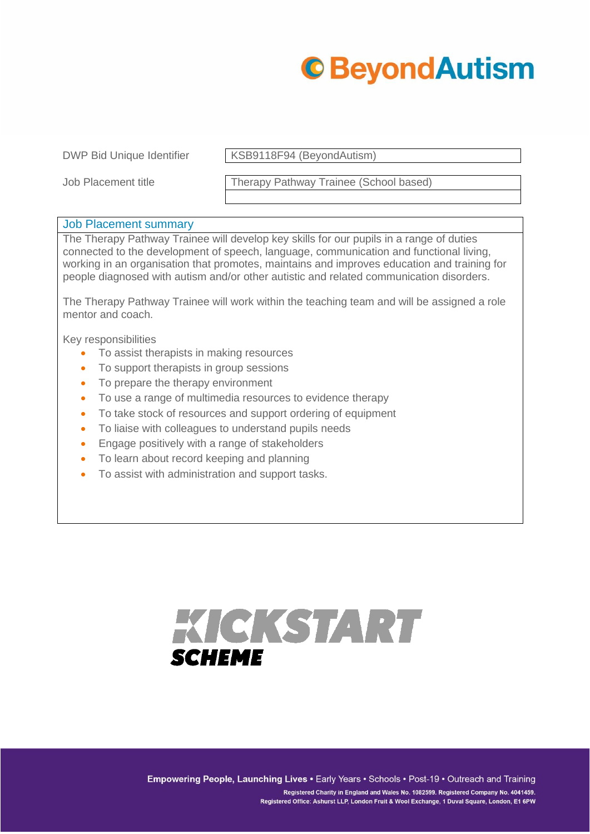

DWP Bid Unique Identifier KSB9118F94 (BeyondAutism)

Job Placement title Therapy Pathway Trainee (School based)

## Job Placement summary

The Therapy Pathway Trainee will develop key skills for our pupils in a range of duties connected to the development of speech, language, communication and functional living, working in an organisation that promotes, maintains and improves education and training for people diagnosed with autism and/or other autistic and related communication disorders.

The Therapy Pathway Trainee will work within the teaching team and will be assigned a role mentor and coach.

Key responsibilities

- To assist therapists in making resources
- To support therapists in group sessions
- To prepare the therapy environment
- To use a range of multimedia resources to evidence therapy
- To take stock of resources and support ordering of equipment
- To liaise with colleagues to understand pupils needs
- Engage positively with a range of stakeholders
- To learn about record keeping and planning
- To assist with administration and support tasks.

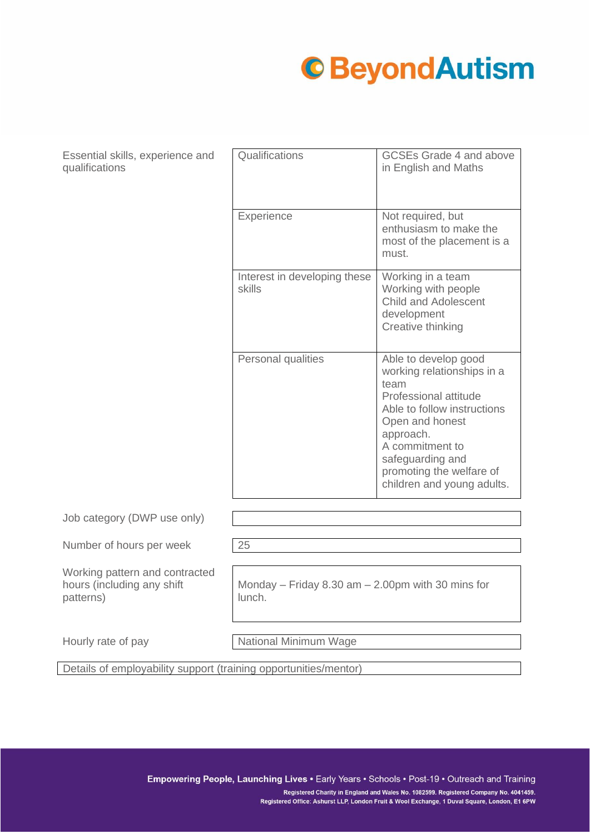## **C**BeyondAutism

Essential skills, experience and qualifications

| Qualifications                         | <b>GCSEs Grade 4 and above</b><br>in English and Maths                                                                                                                                                                                              |
|----------------------------------------|-----------------------------------------------------------------------------------------------------------------------------------------------------------------------------------------------------------------------------------------------------|
| <b>Experience</b>                      | Not required, but<br>enthusiasm to make the<br>most of the placement is a<br>must.                                                                                                                                                                  |
| Interest in developing these<br>skills | Working in a team<br>Working with people<br><b>Child and Adolescent</b><br>development<br>Creative thinking                                                                                                                                         |
| Personal qualities                     | Able to develop good<br>working relationships in a<br>team<br>Professional attitude<br>Able to follow instructions<br>Open and honest<br>approach.<br>A commitment to<br>safeguarding and<br>promoting the welfare of<br>children and young adults. |

Job category (DWP use only)

Number of hours per week 25

Working pattern and contracted hours (including any shift patterns)

Monday – Friday 8.30 am – 2.00pm with 30 mins for lunch.

Hourly rate of pay National Minimum Wage

Details of employability support (training opportunities/mentor)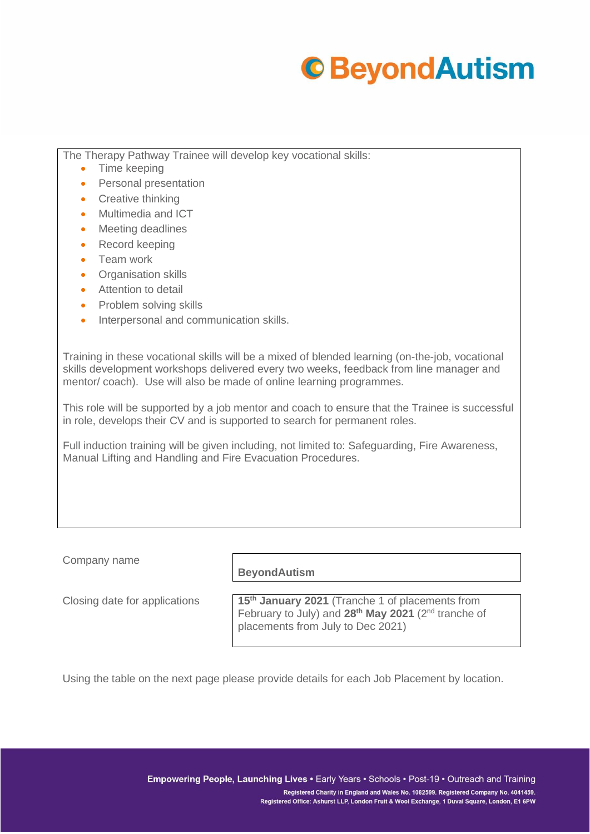

The Therapy Pathway Trainee will develop key vocational skills:

- Time keeping
- Personal presentation
- Creative thinking
- Multimedia and ICT
- **Meeting deadlines**
- Record keeping
- Team work
- Organisation skills
- Attention to detail
- Problem solving skills
- Interpersonal and communication skills.

Training in these vocational skills will be a mixed of blended learning (on-the-job, vocational skills development workshops delivered every two weeks, feedback from line manager and mentor/ coach). Use will also be made of online learning programmes.

This role will be supported by a job mentor and coach to ensure that the Trainee is successful in role, develops their CV and is supported to search for permanent roles.

Full induction training will be given including, not limited to: Safeguarding, Fire Awareness, Manual Lifting and Handling and Fire Evacuation Procedures.

Company name

**BeyondAutism**

Closing date for applications **15th January 2021** (Tranche 1 of placements from February to July) and **28th May 2021** (2nd tranche of placements from July to Dec 2021)

Using the table on the next page please provide details for each Job Placement by location.